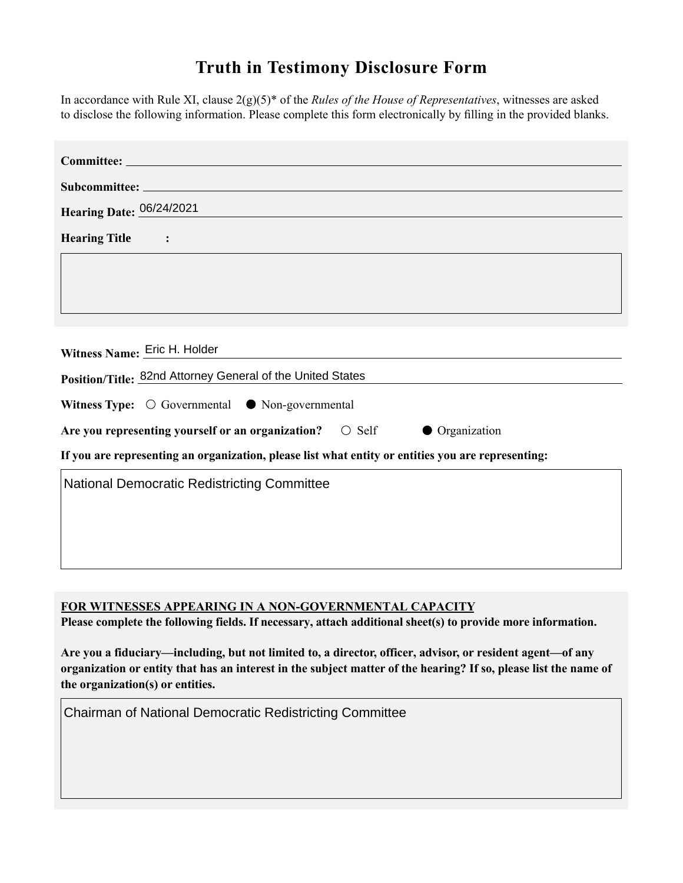## **Truth in Testimony Disclosure Form**

In accordance with Rule XI, clause 2(g)(5)\* of the *Rules of the House of Representatives*, witnesses are asked to disclose the following information. Please complete this form electronically by filling in the provided blanks.

| Committee: Economic Disparity and Fairness in Growth                                               |
|----------------------------------------------------------------------------------------------------|
|                                                                                                    |
| Hearing Date: 06/24/2021                                                                           |
| <b>Hearing Title</b>                                                                               |
|                                                                                                    |
| Witness Name: Eric H. Holder<br>Position/Title: 82nd Attorney General of the United States         |
| Witness Type: $\bigcirc$ Governmental $\bullet$ Non-governmental                                   |
| Are you representing yourself or an organization?<br>$\bigcirc$ Self<br><b>Organization</b>        |
| If you are representing an organization, please list what entity or entities you are representing: |
| <b>National Democratic Redistricting Committee</b>                                                 |

**FOR WITNESSES APPEARING IN A NON-GOVERNMENTAL CAPACITY**

**Please complete the following fields. If necessary, attach additional sheet(s) to provide more information.**

**Are you a fiduciary—including, but not limited to, a director, officer, advisor, or resident agent—of any organization or entity that has an interest in the subject matter of the hearing? If so, please list the name of the organization(s) or entities.**

Chairman of National Democratic Redistricting Committee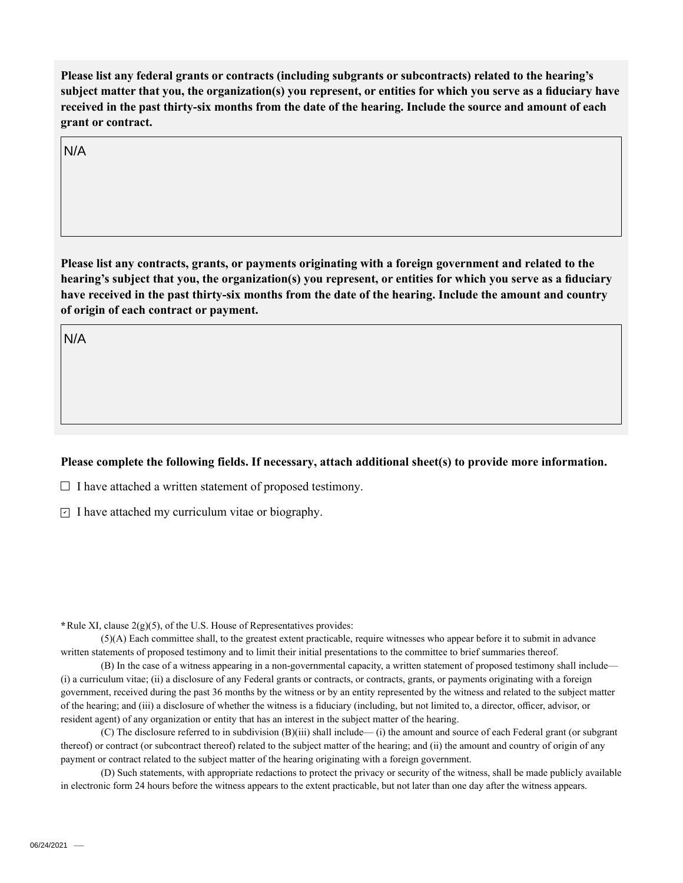**Please list any federal grants or contracts (including subgrants or subcontracts) related to the hearing's subject matter that you, the organization(s) you represent, or entities for which you serve as a fiduciary have received in the past thirty-six months from the date of the hearing. Include the source and amount of each grant or contract.** 

N/A

**Please list any contracts, grants, or payments originating with a foreign government and related to the hearing's subject that you, the organization(s) you represent, or entities for which you serve as a fiduciary have received in the past thirty-six months from the date of the hearing. Include the amount and country of origin of each contract or payment.** 

N/A

## **Please complete the following fields. If necessary, attach additional sheet(s) to provide more information.**

 $\Box$  I have attached a written statement of proposed testimony.

 $\subseteq$  I have attached my curriculum vitae or biography.

**\***Rule XI, clause 2(g)(5), of the U.S. House of Representatives provides:

(5)(A) Each committee shall, to the greatest extent practicable, require witnesses who appear before it to submit in advance written statements of proposed testimony and to limit their initial presentations to the committee to brief summaries thereof.

(B) In the case of a witness appearing in a non-governmental capacity, a written statement of proposed testimony shall include— (i) a curriculum vitae; (ii) a disclosure of any Federal grants or contracts, or contracts, grants, or payments originating with a foreign government, received during the past 36 months by the witness or by an entity represented by the witness and related to the subject matter of the hearing; and (iii) a disclosure of whether the witness is a fiduciary (including, but not limited to, a director, officer, advisor, or resident agent) of any organization or entity that has an interest in the subject matter of the hearing.

(C) The disclosure referred to in subdivision (B)(iii) shall include— (i) the amount and source of each Federal grant (or subgrant thereof) or contract (or subcontract thereof) related to the subject matter of the hearing; and (ii) the amount and country of origin of any payment or contract related to the subject matter of the hearing originating with a foreign government.

(D) Such statements, with appropriate redactions to protect the privacy or security of the witness, shall be made publicly available in electronic form 24 hours before the witness appears to the extent practicable, but not later than one day after the witness appears.